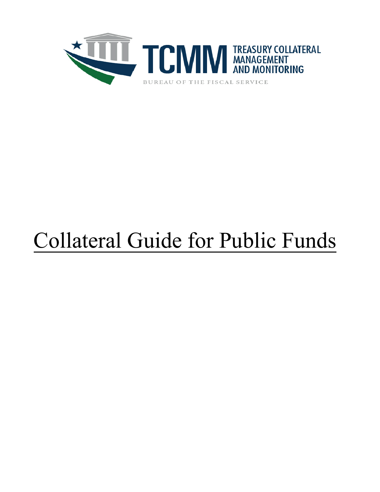

# Collateral Guide for Public Funds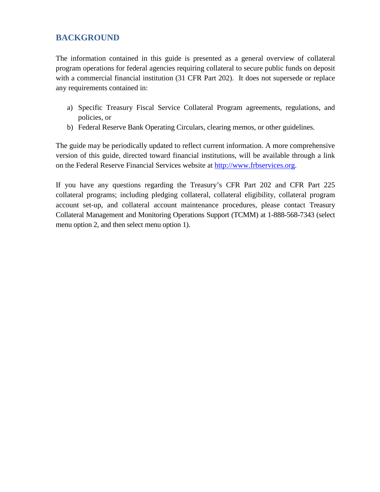# **BACKGROUND**

The information contained in this guide is presented as a general overview of collateral program operations for federal agencies requiring collateral to secure public funds on deposit with a commercial financial institution (31 CFR Part 202). It does not supersede or replace any requirements contained in:

- a) Specific Treasury Fiscal Service Collateral Program agreements, regulations, and policies, or
- b) Federal Reserve Bank Operating Circulars, clearing memos, or other guidelines.

The guide may be periodically updated to reflect current information. A more comprehensive version of this guide, directed toward financial institutions, will be available through a link on the Federal Reserve Financial Services website at http:/[/www.frbservices.org.](http://www.frbservices.org/)

If you have any questions regarding the Treasury's CFR Part 202 and CFR Part 225 collateral programs; including pledging collateral, collateral eligibility, collateral program account set-up, and collateral account maintenance procedures, please contact Treasury Collateral Management and Monitoring Operations Support (TCMM) at 1-888-568-7343 (select menu option 2, and then select menu option 1).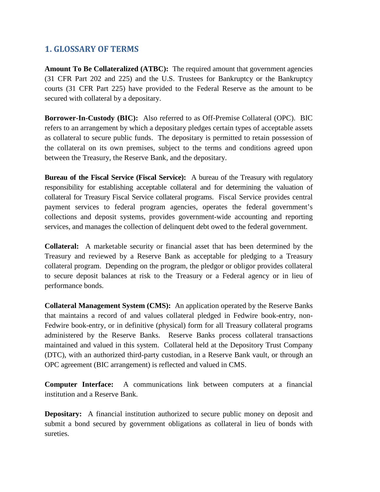# **1. GLOSSARY OF TERMS**

**Amount To Be Collateralized (ATBC):** The required amount that government agencies (31 CFR Part 202 and 225) and the U.S. Trustees for Bankruptcy or the Bankruptcy courts (31 CFR Part 225) have provided to the Federal Reserve as the amount to be secured with collateral by a depositary.

**Borrower-In-Custody (BIC):** Also referred to as Off-Premise Collateral (OPC). BIC refers to an arrangement by which a depositary pledges certain types of acceptable assets as collateral to secure public funds. The depositary is permitted to retain possession of the collateral on its own premises, subject to the terms and conditions agreed upon between the Treasury, the Reserve Bank, and the depositary.

**Bureau of the Fiscal Service (Fiscal Service):** A bureau of the Treasury with regulatory responsibility for establishing acceptable collateral and for determining the valuation of collateral for Treasury Fiscal Service collateral programs. Fiscal Service provides central payment services to federal program agencies, operates the federal government's collections and deposit systems, provides government-wide accounting and reporting services, and manages the collection of delinquent debt owed to the federal government.

**Collateral:** A marketable security or financial asset that has been determined by the Treasury and reviewed by a Reserve Bank as acceptable for pledging to a Treasury collateral program. Depending on the program, the pledgor or obligor provides collateral to secure deposit balances at risk to the Treasury or a Federal agency or in lieu of performance bonds.

**Collateral Management System (CMS):** An application operated by the Reserve Banks that maintains a record of and values collateral pledged in Fedwire book-entry, non-Fedwire book-entry, or in definitive (physical) form for all Treasury collateral programs administered by the Reserve Banks. Reserve Banks process collateral transactions maintained and valued in this system. Collateral held at the Depository Trust Company (DTC), with an authorized third-party custodian, in a Reserve Bank vault, or through an OPC agreement (BIC arrangement) is reflected and valued in CMS.

**Computer Interface:** A communications link between computers at a financial institution and a Reserve Bank.

**Depositary:** A financial institution authorized to secure public money on deposit and submit a bond secured by government obligations as collateral in lieu of bonds with sureties.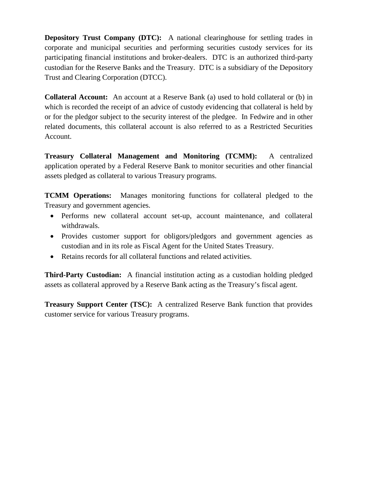**Depository Trust Company (DTC):** A national clearinghouse for settling trades in corporate and municipal securities and performing securities custody services for its participating financial institutions and broker-dealers. DTC is an authorized third-party custodian for the Reserve Banks and the Treasury. DTC is a subsidiary of the Depository Trust and Clearing Corporation (DTCC).

**Collateral Account:** An account at a Reserve Bank (a) used to hold collateral or (b) in which is recorded the receipt of an advice of custody evidencing that collateral is held by or for the pledgor subject to the security interest of the pledgee. In Fedwire and in other related documents, this collateral account is also referred to as a Restricted Securities Account.

**Treasury Collateral Management and Monitoring (TCMM):** A centralized application operated by a Federal Reserve Bank to monitor securities and other financial assets pledged as collateral to various Treasury programs.

**TCMM Operations:** Manages monitoring functions for collateral pledged to the Treasury and government agencies.

- Performs new collateral account set-up, account maintenance, and collateral withdrawals.
- Provides customer support for obligors/pledgors and government agencies as custodian and in its role as Fiscal Agent for the United States Treasury.
- Retains records for all collateral functions and related activities.

**Third-Party Custodian:** A financial institution acting as a custodian holding pledged assets as collateral approved by a Reserve Bank acting as the Treasury's fiscal agent.

**Treasury Support Center (TSC):** A centralized Reserve Bank function that provides customer service for various Treasury programs.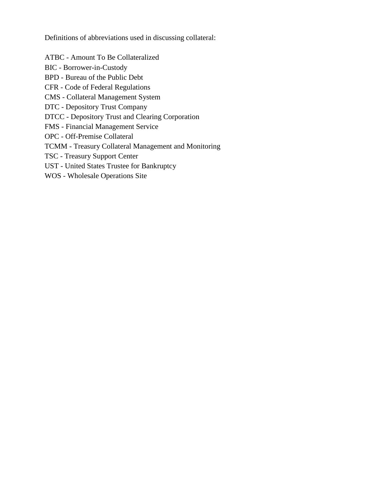Definitions of abbreviations used in discussing collateral:

ATBC - Amount To Be Collateralized

BIC - Borrower-in-Custody

BPD - Bureau of the Public Debt

CFR - Code of Federal Regulations

CMS - Collateral Management System

DTC - Depository Trust Company

DTCC - Depository Trust and Clearing Corporation

FMS - Financial Management Service

OPC - Off-Premise Collateral

TCMM - Treasury Collateral Management and Monitoring

TSC - Treasury Support Center

UST - United States Trustee for Bankruptcy

WOS - Wholesale Operations Site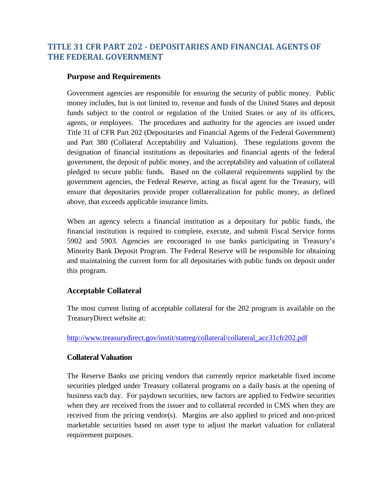# **TITLE 31 CFR PART 202 - DEPOSITARIES AND FINANCIAL AGENTS OF THE FEDERAL GOVERNMENT**

## **Purpose and Requirements**

Government agencies are responsible for ensuring the security of public money. Public money includes, but is not limited to, revenue and funds of the United States and deposit funds subject to the control or regulation of the United States or any of its officers, agents, or employees. The procedures and authority for the agencies are issued under Title 31 of CFR Part 202 (Depositaries and Financial Agents of the Federal Government) and Part 380 (Collateral Acceptability and Valuation). These regulations govern the designation of financial institutions as depositaries and financial agents of the federal government, the deposit of public money, and the acceptability and valuation of collateral pledged to secure public funds. Based on the collateral requirements supplied by the government agencies, the Federal Reserve, acting as fiscal agent for the Treasury, will ensure that depositaries provide proper collateralization for public money, as defined above, that exceeds applicable insurance limits.

When an agency selects a financial institution as a depositary for public funds, the financial institution is required to complete, execute, and submit Fiscal Service forms 5902 and 5903. Agencies are encouraged to use banks participating in Treasury's Minority Bank Deposit Program. The Federal Reserve will be responsible for obtaining and maintaining the current form for all depositaries with public funds on deposit under this program.

#### **Acceptable Collateral**

The most current listing of acceptable collateral for the 202 program is available on the TreasuryDirect website at:

#### [http://www.treasurydirect.gov/instit/statreg/collateral/collateral\\_acc31cfr202.pdf](http://www.treasurydirect.gov/instit/statreg/collateral/collateral_acc31cfr202.pdf)

#### **Collateral Valuation**

The Reserve Banks use pricing vendors that currently reprice marketable fixed income securities pledged under Treasury collateral programs on a daily basis at the opening of business each day. For paydown securities, new factors are applied to Fedwire securities when they are received from the issuer and to collateral recorded in CMS when they are received from the pricing vendor(s). Margins are also applied to priced and non-priced marketable securities based on asset type to adjust the market valuation for collateral requirement purposes.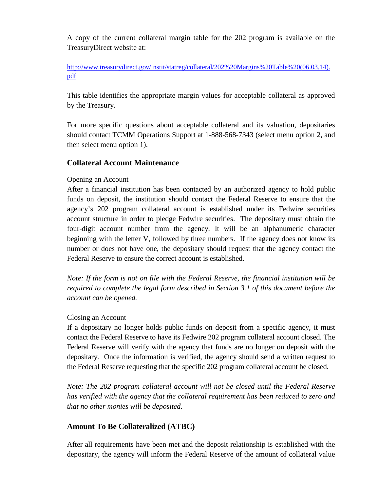A copy of the current collateral margin table for the 202 program is available on the TreasuryDirect website at:

[http://www.treasurydirect.gov/instit/statreg/collateral/202%20Margins%20Table%20\(06.03.14\).](http://www.treasurydirect.gov/instit/statreg/collateral/202%20Margins%20Table%20(06.03.14).pdf) [pdf](http://www.treasurydirect.gov/instit/statreg/collateral/202%20Margins%20Table%20(06.03.14).pdf)

This table identifies the appropriate margin values for acceptable collateral as approved by the Treasury.

For more specific questions about acceptable collateral and its valuation, depositaries should contact TCMM Operations Support at 1-888-568-7343 (select menu option 2, and then select menu option 1).

# **Collateral Account Maintenance**

# Opening an Account

After a financial institution has been contacted by an authorized agency to hold public funds on deposit, the institution should contact the Federal Reserve to ensure that the agency's 202 program collateral account is established under its Fedwire securities account structure in order to pledge Fedwire securities. The depositary must obtain the four-digit account number from the agency. It will be an alphanumeric character beginning with the letter V, followed by three numbers. If the agency does not know its number or does not have one, the depositary should request that the agency contact the Federal Reserve to ensure the correct account is established.

*Note: If the form is not on file with the Federal Reserve, the financial institution will be required to complete the legal form described in Section 3.1 of this document before the account can be opened.*

# Closing an Account

If a depositary no longer holds public funds on deposit from a specific agency, it must contact the Federal Reserve to have its Fedwire 202 program collateral account closed. The Federal Reserve will verify with the agency that funds are no longer on deposit with the depositary. Once the information is verified, the agency should send a written request to the Federal Reserve requesting that the specific 202 program collateral account be closed.

*Note: The 202 program collateral account will not be closed until the Federal Reserve has verified with the agency that the collateral requirement has been reduced to zero and that no other monies will be deposited.* 

# **Amount To Be Collateralized (ATBC)**

After all requirements have been met and the deposit relationship is established with the depositary, the agency will inform the Federal Reserve of the amount of collateral value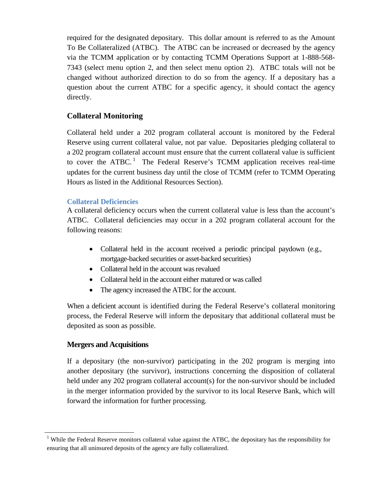required for the designated depositary. This dollar amount is referred to as the Amount To Be Collateralized (ATBC). The ATBC can be increased or decreased by the agency via the TCMM application or by contacting TCMM Operations Support at 1-888-568- 7343 (select menu option 2, and then select menu option 2). ATBC totals will not be changed without authorized direction to do so from the agency. If a depositary has a question about the current ATBC for a specific agency, it should contact the agency directly.

# **Collateral Monitoring**

Collateral held under a 202 program collateral account is monitored by the Federal Reserve using current collateral value, not par value. Depositaries pledging collateral to a 202 program collateral account must ensure that the current collateral value is sufficient to cover the  $ATBC$ <sup>[1](#page-7-0)</sup>. The Federal Reserve's TCMM application receives real-time updates for the current business day until the close of TCMM (refer to TCMM Operating Hours as listed in the Additional Resources Section).

### **Collateral Deficiencies**

A collateral deficiency occurs when the current collateral value is less than the account's ATBC. Collateral deficiencies may occur in a 202 program collateral account for the following reasons:

- Collateral held in the account received a periodic principal paydown (e.g., mortgage-backed securities or asset-backed securities)
- Collateral held in the account was revalued
- Collateral held in the account either matured or was called
- The agency increased the ATBC for the account.

When a deficient account is identified during the Federal Reserve's collateral monitoring process, the Federal Reserve will inform the depositary that additional collateral must be deposited as soon as possible.

# **Mergers and Acquisitions**

If a depositary (the non-survivor) participating in the 202 program is merging into another depositary (the survivor), instructions concerning the disposition of collateral held under any 202 program collateral account(s) for the non-survivor should be included in the merger information provided by the survivor to its local Reserve Bank, which will forward the information for further processing.

<span id="page-7-0"></span><sup>&</sup>lt;sup>1</sup> While the Federal Reserve monitors collateral value against the ATBC, the depositary has the responsibility for ensuring that all uninsured deposits of the agency are fully collateralized.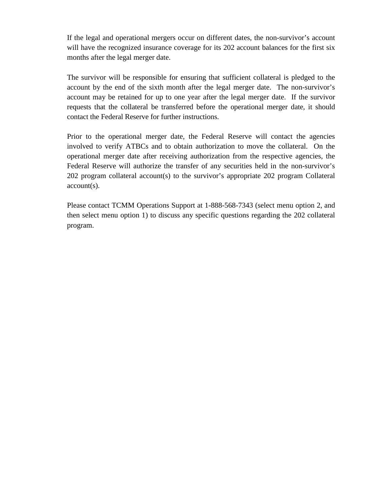If the legal and operational mergers occur on different dates, the non-survivor's account will have the recognized insurance coverage for its 202 account balances for the first six months after the legal merger date.

The survivor will be responsible for ensuring that sufficient collateral is pledged to the account by the end of the sixth month after the legal merger date. The non-survivor's account may be retained for up to one year after the legal merger date. If the survivor requests that the collateral be transferred before the operational merger date, it should contact the Federal Reserve for further instructions.

Prior to the operational merger date, the Federal Reserve will contact the agencies involved to verify ATBCs and to obtain authorization to move the collateral. On the operational merger date after receiving authorization from the respective agencies, the Federal Reserve will authorize the transfer of any securities held in the non-survivor's 202 program collateral account(s) to the survivor's appropriate 202 program Collateral account(s).

Please contact TCMM Operations Support at 1-888-568-7343 (select menu option 2, and then select menu option 1) to discuss any specific questions regarding the 202 collateral program.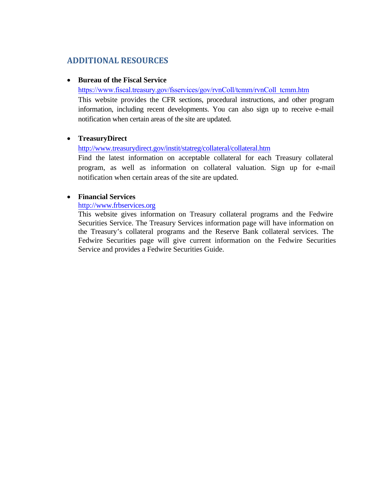# **ADDITIONAL RESOURCES**

#### • **Bureau of the Fiscal Service**

[https://www.fiscal.treasury.gov/fsservices/gov/rvnColl/tcmm/rvnColl\\_tcmm.htm](https://www.fiscal.treasury.gov/fsservices/gov/rvnColl/tcmm/rvnColl_tcmm.htm)

This website provides the CFR sections, procedural instructions, and other program information, including recent developments. You can also sign up to receive e-mail notification when certain areas of the site are updated.

### • **TreasuryDirect**

<http://www.treasurydirect.gov/instit/statreg/collateral/collateral.htm>

Find the latest information on acceptable collateral for each Treasury collateral program, as well as information on collateral valuation. Sign up for e-mail notification when certain areas of the site are updated.

### • **Financial Services**

http:/[/www.frbservices.org](http://www.frbservices.org/)

This website gives information on Treasury collateral programs and the Fedwire Securities Service. The Treasury Services information page will have information on the Treasury's collateral programs and the Reserve Bank collateral services. The Fedwire Securities page will give current information on the Fedwire Securities Service and provides a Fedwire Securities Guide.